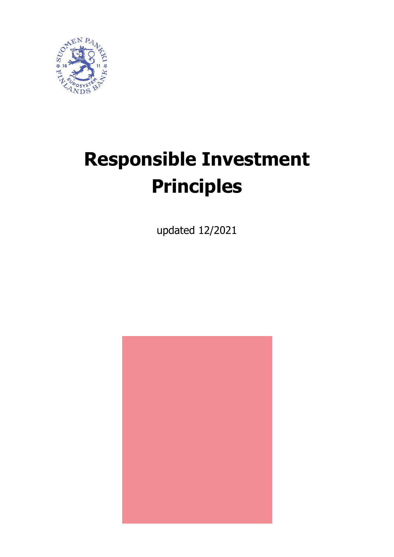

# **Responsible Investment Principles**

updated 12/2021

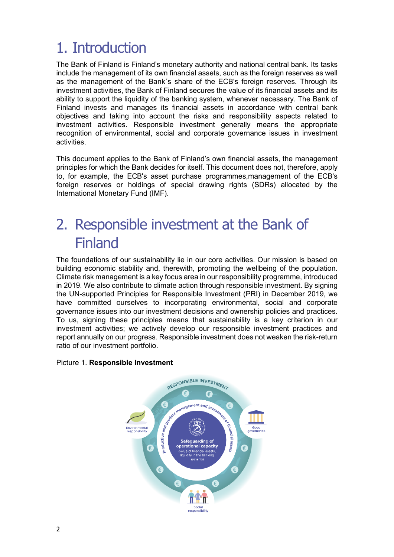## 1. Introduction

The Bank of Finland is Finland's monetary authority and national central bank. Its tasks include the management of its own financial assets, such as the foreign reserves as well as the management of the Bank´s share of the ECB's foreign reserves. Through its investment activities, the Bank of Finland secures the value of its financial assets and its ability to support the liquidity of the banking system, whenever necessary. The Bank of Finland invests and manages its financial assets in accordance with central bank objectives and taking into account the risks and responsibility aspects related to investment activities. Responsible investment generally means the appropriate recognition of environmental, social and corporate governance issues in investment activities.

This document applies to the Bank of Finland's own financial assets, the management principles for which the Bank decides for itself. This document does not, therefore, apply to, for example, the ECB's asset purchase programmes,management of the ECB's foreign reserves or holdings of special drawing rights (SDRs) allocated by the International Monetary Fund (IMF).

## 2. Responsible investment at the Bank of Finland

The foundations of our sustainability lie in our core activities. Our mission is based on building economic stability and, therewith, promoting the wellbeing of the population. Climate risk management is a key focus area in our responsibility programme, introduced in 2019. We also contribute to climate action through responsible investment. By signing the UN-supported Principles for Responsible Investment (PRI) in December 2019, we have committed ourselves to incorporating environmental, social and corporate governance issues into our investment decisions and ownership policies and practices. To us, signing these principles means that sustainability is a key criterion in our investment activities; we actively develop our responsible investment practices and report annually on our progress. Responsible investment does not weaken the risk-return ratio of our investment portfolio.

#### Picture 1. **Responsible Investment**

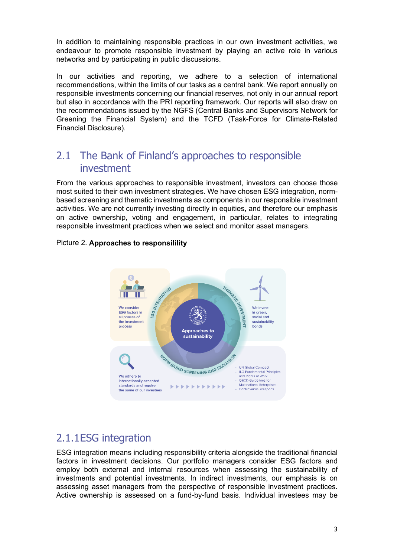In addition to maintaining responsible practices in our own investment activities, we endeavour to promote responsible investment by playing an active role in various networks and by participating in public discussions.

In our activities and reporting, we adhere to a selection of international recommendations, within the limits of our tasks as a central bank. We report annually on responsible investments concerning our financial reserves, not only in our annual report but also in accordance with the PRI reporting framework. Our reports will also draw on the recommendations issued by the NGFS (Central Banks and Supervisors Network for Greening the Financial System) and the TCFD (Task-Force for Climate-Related Financial Disclosure).

### 2.1 The Bank of Finland's approaches to responsible investment

From the various approaches to responsible investment, investors can choose those most suited to their own investment strategies. We have chosen ESG integration, normbased screening and thematic investments as components in our responsible investment activities. We are not currently investing directly in equities, and therefore our emphasis on active ownership, voting and engagement, in particular, relates to integrating responsible investment practices when we select and monitor asset managers.



#### Picture 2. **Approaches to responsilility**

## 2.1.1ESG integration

ESG integration means including responsibility criteria alongside the traditional financial factors in investment decisions. Our portfolio managers consider ESG factors and employ both external and internal resources when assessing the sustainability of investments and potential investments. In indirect investments, our emphasis is on assessing asset managers from the perspective of responsible investment practices. Active ownership is assessed on a fund-by-fund basis. Individual investees may be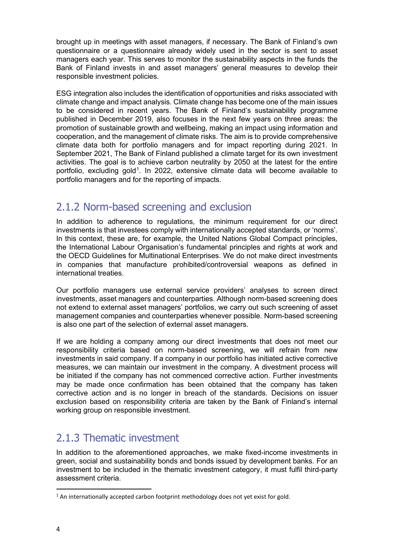brought up in meetings with asset managers, if necessary. The Bank of Finland's own questionnaire or a questionnaire already widely used in the sector is sent to asset managers each year. This serves to monitor the sustainability aspects in the funds the Bank of Finland invests in and asset managers' general measures to develop their responsible investment policies.

ESG integration also includes the identification of opportunities and risks associated with climate change and impact analysis. Climate change has become one of the main issues to be considered in recent years. The Bank of Finland's sustainability programme published in December 2019, also focuses in the next few years on three areas: the promotion of sustainable growth and wellbeing, making an impact using information and cooperation, and the management of climate risks. The aim is to provide comprehensive climate data both for portfolio managers and for impact reporting during 2021. In September 2021, The Bank of Finland published a climate target for its own investment activities. The goal is to achieve carbon neutrality by 2050 at the latest for the entire portfolio, excluding gold<sup>[1](#page-3-0)</sup>. In 2022, extensive climate data will become available to portfolio managers and for the reporting of impacts.

## 2.1.2 Norm-based screening and exclusion

In addition to adherence to regulations, the minimum requirement for our direct investments is that investees comply with internationally accepted standards, or 'norms'. In this context, these are, for example, the United Nations Global Compact principles, the International Labour Organisation's fundamental principles and rights at work and the OECD Guidelines for Multinational Enterprises. We do not make direct investments in companies that manufacture prohibited/controversial weapons as defined in international treaties.

Our portfolio managers use external service providers' analyses to screen direct investments, asset managers and counterparties. Although norm-based screening does not extend to external asset managers' portfolios, we carry out such screening of asset management companies and counterparties whenever possible. Norm-based screening is also one part of the selection of external asset managers.

If we are holding a company among our direct investments that does not meet our responsibility criteria based on norm-based screening, we will refrain from new investments in said company. If a company in our portfolio has initiated active corrective measures, we can maintain our investment in the company. A divestment process will be initiated if the company has not commenced corrective action. Further investments may be made once confirmation has been obtained that the company has taken corrective action and is no longer in breach of the standards. Decisions on issuer exclusion based on responsibility criteria are taken by the Bank of Finland's internal working group on responsible investment.

## 2.1.3 Thematic investment

In addition to the aforementioned approaches, we make fixed-income investments in green, social and sustainability bonds and bonds issued by development banks. For an investment to be included in the thematic investment category, it must fulfil third-party assessment criteria.

<span id="page-3-0"></span> $1$  An internationally accepted carbon footprint methodology does not yet exist for gold.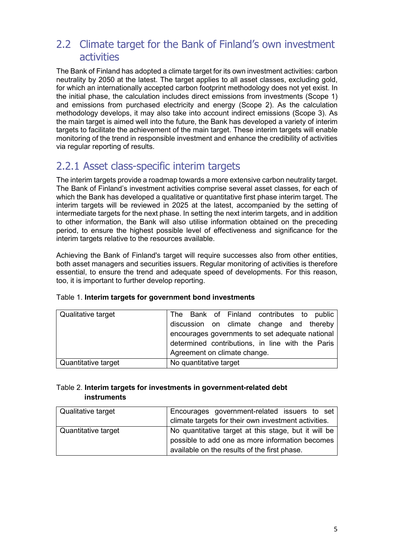## 2.2 Climate target for the Bank of Finland's own investment activities

The Bank of Finland has adopted a climate target for its own investment activities: carbon neutrality by 2050 at the latest. The target applies to all asset classes, excluding gold, for which an internationally accepted carbon footprint methodology does not yet exist. In the initial phase, the calculation includes direct emissions from investments (Scope 1) and emissions from purchased electricity and energy (Scope 2). As the calculation methodology develops, it may also take into account indirect emissions (Scope 3). As the main target is aimed well into the future, the Bank has developed a variety of interim targets to facilitate the achievement of the main target. These interim targets will enable monitoring of the trend in responsible investment and enhance the credibility of activities via regular reporting of results.

## 2.2.1 Asset class-specific interim targets

The interim targets provide a roadmap towards a more extensive carbon neutrality target. The Bank of Finland's investment activities comprise several asset classes, for each of which the Bank has developed a qualitative or quantitative first phase interim target. The interim targets will be reviewed in 2025 at the latest, accompanied by the setting of intermediate targets for the next phase. In setting the next interim targets, and in addition to other information, the Bank will also utilise information obtained on the preceding period, to ensure the highest possible level of effectiveness and significance for the interim targets relative to the resources available.

Achieving the Bank of Finland's target will require successes also from other entities, both asset managers and securities issuers. Regular monitoring of activities is therefore essential, to ensure the trend and adequate speed of developments. For this reason, too, it is important to further develop reporting.

| Qualitative target  | The Bank of Finland contributes to public        |
|---------------------|--------------------------------------------------|
|                     | discussion on climate change and thereby         |
|                     | encourages governments to set adequate national  |
|                     | determined contributions, in line with the Paris |
|                     | Agreement on climate change.                     |
| Quantitative target | No quantitative target                           |

|  |  |  | Table 1. Interim targets for government bond investments |  |  |
|--|--|--|----------------------------------------------------------|--|--|
|--|--|--|----------------------------------------------------------|--|--|

#### Table 2. **Interim targets for investments in government-related debt instruments**

| Qualitative target  | Encourages government-related issuers to set         |
|---------------------|------------------------------------------------------|
|                     | climate targets for their own investment activities. |
| Quantitative target | No quantitative target at this stage, but it will be |
|                     | possible to add one as more information becomes      |
|                     | available on the results of the first phase.         |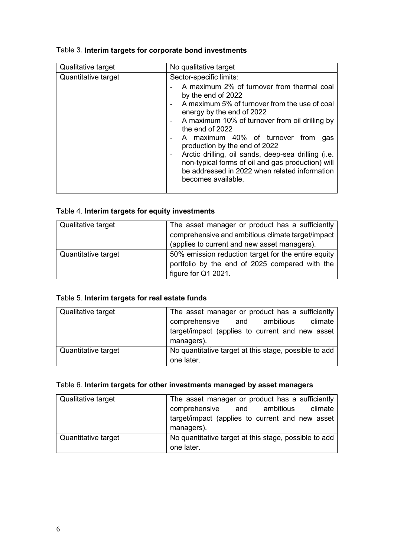| Sector-specific limits:<br>Quantitative target<br>A maximum 2% of turnover from thermal coal<br>by the end of 2022                                                                                                                                                                                                                                                                                           | Qualitative target |
|--------------------------------------------------------------------------------------------------------------------------------------------------------------------------------------------------------------------------------------------------------------------------------------------------------------------------------------------------------------------------------------------------------------|--------------------|
| A maximum 5% of turnover from the use of coal<br>energy by the end of 2022<br>A maximum 10% of turnover from oil drilling by<br>the end of 2022<br>A maximum 40% of turnover from<br>qas<br>production by the end of 2022<br>Arctic drilling, oil sands, deep-sea drilling (i.e.<br>non-typical forms of oil and gas production) will<br>be addressed in 2022 when related information<br>becomes available. |                    |

#### Table 3. **Interim targets for corporate bond investments**

#### Table 4. **Interim targets for equity investments**

| Qualitative target  | The asset manager or product has a sufficiently<br>comprehensive and ambitious climate target/impact<br>(applies to current and new asset managers). |
|---------------------|------------------------------------------------------------------------------------------------------------------------------------------------------|
| Quantitative target | 50% emission reduction target for the entire equity<br>portfolio by the end of 2025 compared with the<br>figure for Q1 2021.                         |

#### Table 5. **Interim targets for real estate funds**

| Qualitative target  | The asset manager or product has a sufficiently<br>comprehensive and ambitious climate<br>target/impact (applies to current and new asset<br>managers). |
|---------------------|---------------------------------------------------------------------------------------------------------------------------------------------------------|
| Quantitative target | No quantitative target at this stage, possible to add<br>one later.                                                                                     |

#### Table 6. **Interim targets for other investments managed by asset managers**

| Qualitative target  | The asset manager or product has a sufficiently               |  |  |
|---------------------|---------------------------------------------------------------|--|--|
|                     | comprehensive and ambitious<br>climate                        |  |  |
|                     | target/impact (applies to current and new asset<br>managers). |  |  |
| Quantitative target | No quantitative target at this stage, possible to add         |  |  |
|                     | one later.                                                    |  |  |